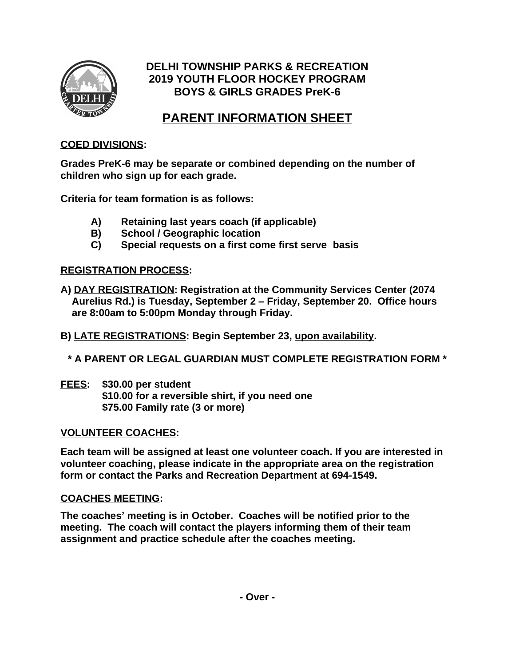

# **DELHI TOWNSHIP PARKS & RECREATION 2019 YOUTH FLOOR HOCKEY PROGRAM BOYS & GIRLS GRADES PreK-6**

# **PARENT INFORMATION SHEET**

## **COED DIVISIONS:**

**Grades PreK-6 may be separate or combined depending on the number of children who sign up for each grade.**

**Criteria for team formation is as follows:**

- **A) Retaining last years coach (if applicable)**
- **B) School / Geographic location**
- **C) Special requests on a first come first serve basis**

## **REGISTRATION PROCESS:**

- **A) DAY REGISTRATION: Registration at the Community Services Center (2074 Aurelius Rd.) is Tuesday, September 2 – Friday, September 20. Office hours are 8:00am to 5:00pm Monday through Friday.**
- **B) LATE REGISTRATIONS: Begin September 23, upon availability.**
	- **\* A PARENT OR LEGAL GUARDIAN MUST COMPLETE REGISTRATION FORM \***
- **FEES: \$30.00 per student \$10.00 for a reversible shirt, if you need one \$75.00 Family rate (3 or more)**

## **VOLUNTEER COACHES:**

**Each team will be assigned at least one volunteer coach. If you are interested in volunteer coaching, please indicate in the appropriate area on the registration form or contact the Parks and Recreation Department at 694-1549.**

## **COACHES MEETING:**

**The coaches' meeting is in October. Coaches will be notified prior to the meeting. The coach will contact the players informing them of their team assignment and practice schedule after the coaches meeting.**